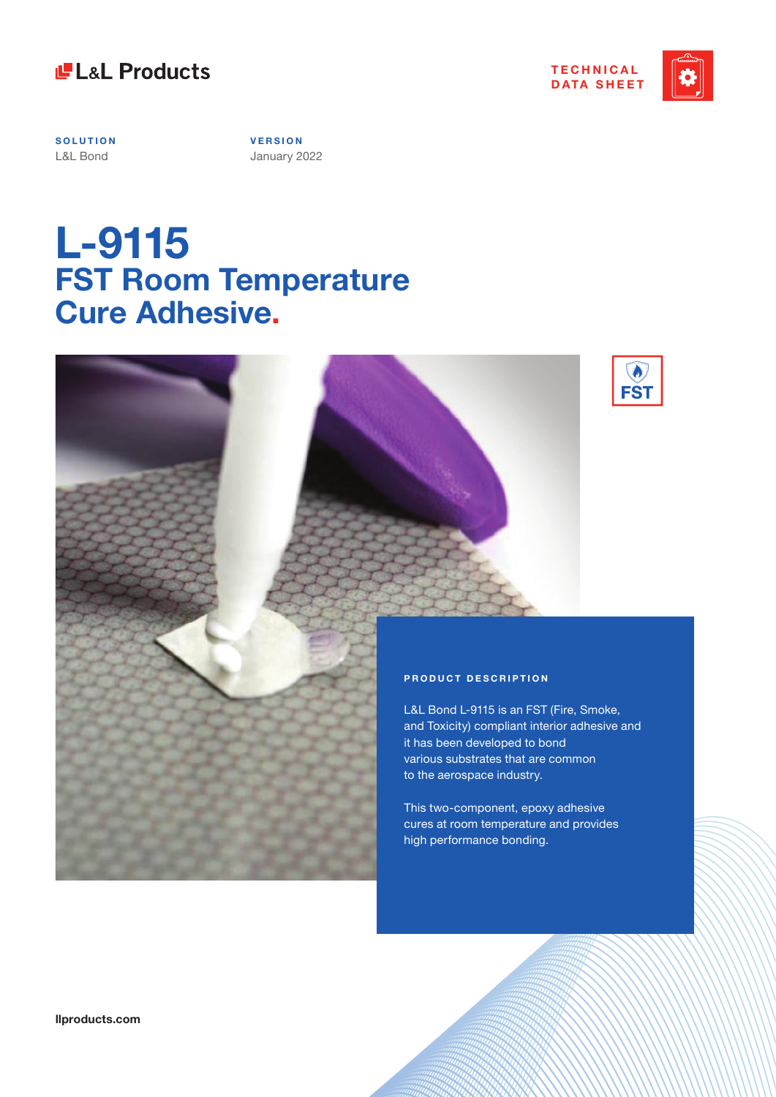



**SOLUTION** L&L Bond

**V E R S I O N**  January 2022

# **L-9115 FST Room Temperature Cure Adhesive.**



### **PRODUCT DESCRIPTION**

L&L Bond L-9115 is an FST (Fire, Smoke, and Toxicity) compliant interior adhesive and it has been developed to bond various substrates that are common to the aerospace industry.

This two-component, epoxy adhesive cures at room temperature and provides high performance bonding.

**llproducts.com**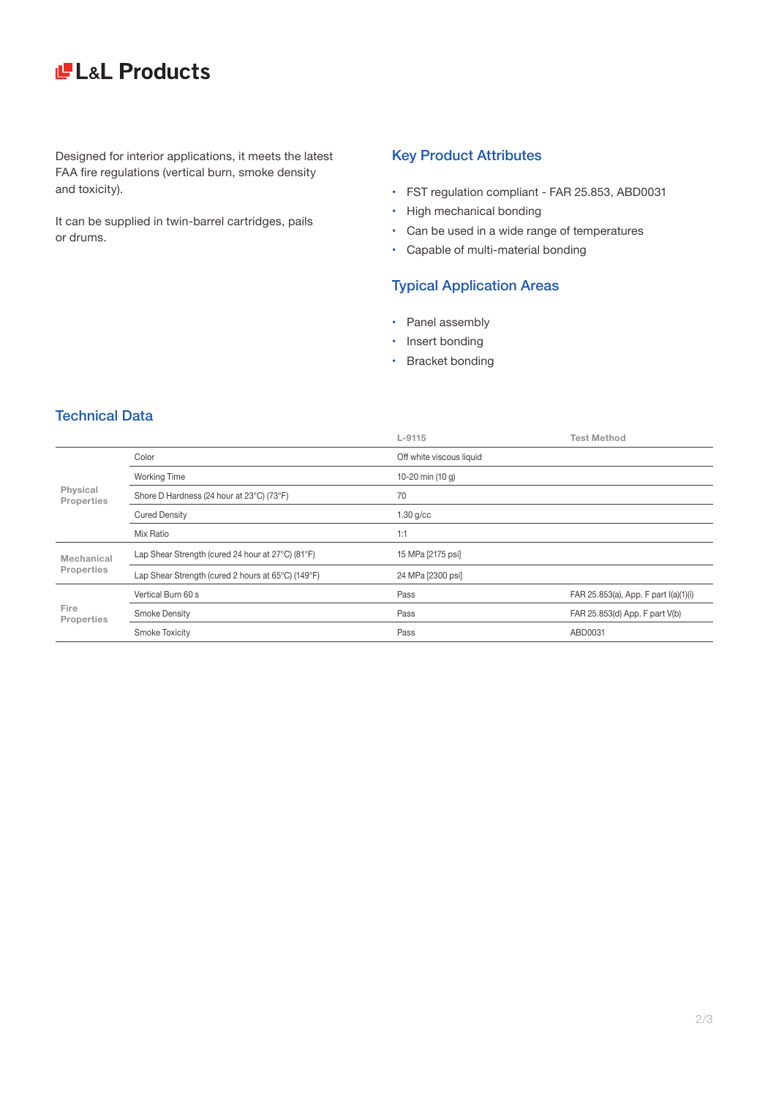# LaL Products

Designed for interior applications, it meets the latest FAA fire regulations (vertical burn, smoke density and toxicity).

It can be supplied in twin-barrel cartridges, pails or drums.

### Key Product Attributes

- • FST regulation compliant FAR 25.853, ABD0031
- High mechanical bonding
- • Can be used in a wide range of temperatures
- • Capable of multi-material bonding

### Typical Application Areas

- Panel assembly
- Insert bonding
- Bracket bonding

## Technical Data

|                                                                                                                    | $L-9115$                 | <b>Test Method</b>                    |
|--------------------------------------------------------------------------------------------------------------------|--------------------------|---------------------------------------|
| Color                                                                                                              | Off white viscous liquid |                                       |
| <b>Working Time</b><br>Physical<br>Shore D Hardness (24 hour at 23°C) (73°F)<br>Properties<br><b>Cured Density</b> | 10-20 min (10 g)         |                                       |
|                                                                                                                    | 70                       |                                       |
|                                                                                                                    | $1.30$ g/cc              |                                       |
| Mix Ratio                                                                                                          | 1:1                      |                                       |
| Lap Shear Strength (cured 24 hour at 27°C) (81°F)                                                                  | 15 MPa [2175 psi]        |                                       |
| Lap Shear Strength (cured 2 hours at 65°C) (149°F)                                                                 | 24 MPa [2300 psi]        |                                       |
| Vertical Burn 60 s                                                                                                 | Pass                     | FAR 25.853(a), App. F part I(a)(1)(i) |
| Fire<br><b>Smoke Density</b><br>Properties                                                                         | Pass                     | FAR 25.853(d) App. F part V(b)        |
| <b>Smoke Toxicity</b>                                                                                              | Pass                     | ABD0031                               |
|                                                                                                                    |                          |                                       |